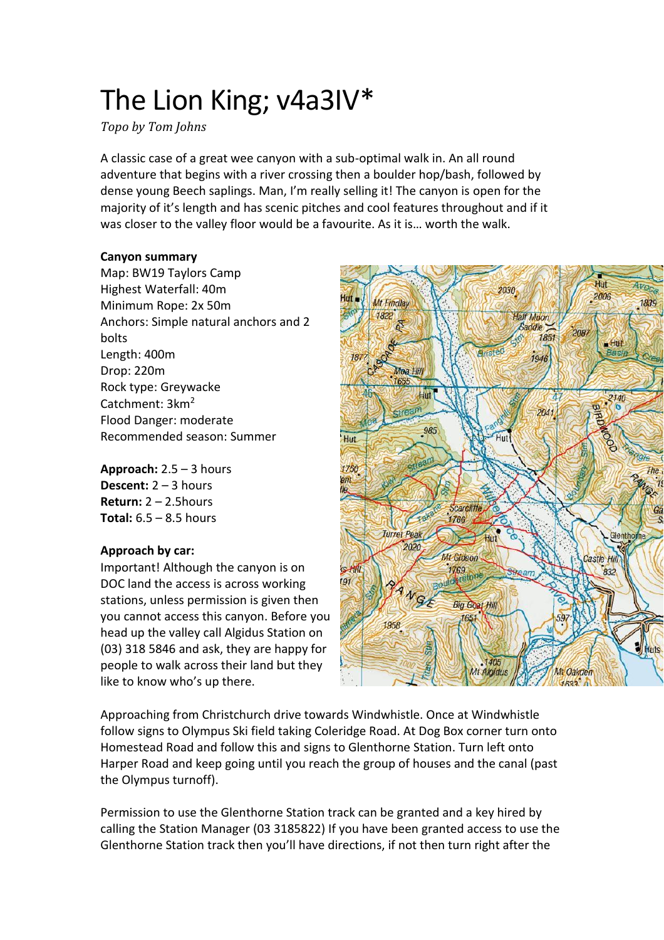# The Lion King; v4a3IV\*

*Topo by Tom Johns*

A classic case of a great wee canyon with a sub-optimal walk in. An all round adventure that begins with a river crossing then a boulder hop/bash, followed by dense young Beech saplings. Man, I'm really selling it! The canyon is open for the majority of it's length and has scenic pitches and cool features throughout and if it was closer to the valley floor would be a favourite. As it is… worth the walk.

## **Canyon summary**

Map: BW19 Taylors Camp Highest Waterfall: 40m Minimum Rope: 2x 50m Anchors: Simple natural anchors and 2 bolts Length: 400m Drop: 220m Rock type: Greywacke Catchment: 3km<sup>2</sup> Flood Danger: moderate Recommended season: Summer

**Approach:** 2.5 – 3 hours **Descent:** 2 – 3 hours **Return:** 2 – 2.5hours **Total:** 6.5 – 8.5 hours

# **Approach by car:**

Important! Although the canyon is on DOC land the access is across working stations, unless permission is given then you cannot access this canyon. Before you head up the valley call Algidus Station on (03) 318 5846 and ask, they are happy for people to walk across their land but they like to know who's up there.



Approaching from Christchurch drive towards Windwhistle. Once at Windwhistle follow signs to Olympus Ski field taking Coleridge Road. At Dog Box corner turn onto Homestead Road and follow this and signs to Glenthorne Station. Turn left onto Harper Road and keep going until you reach the group of houses and the canal (past the Olympus turnoff).

Permission to use the Glenthorne Station track can be granted and a key hired by calling the Station Manager (03 3185822) If you have been granted access to use the Glenthorne Station track then you'll have directions, if not then turn right after the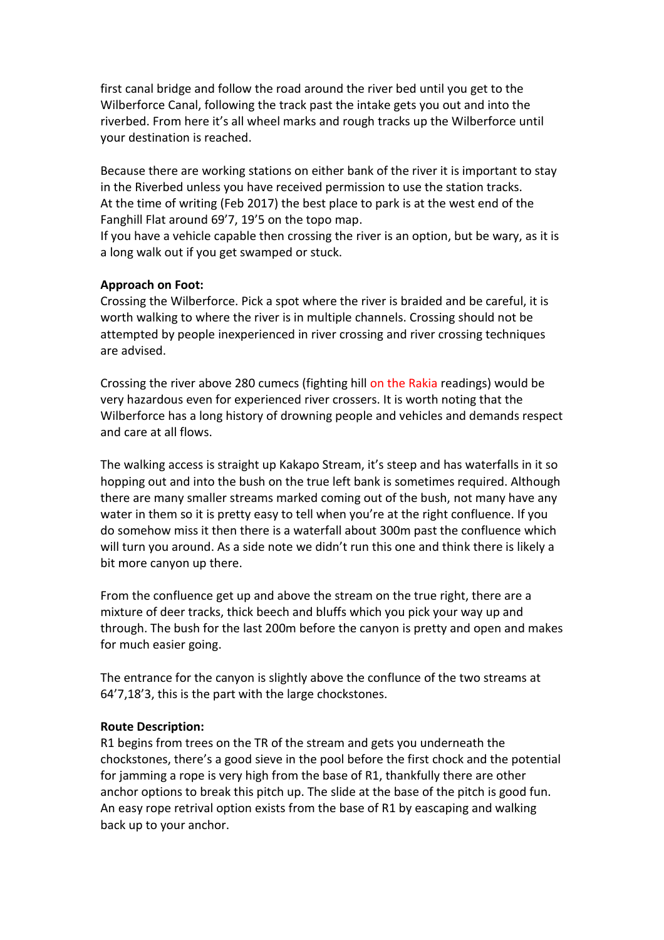first canal bridge and follow the road around the river bed until you get to the Wilberforce Canal, following the track past the intake gets you out and into the riverbed. From here it's all wheel marks and rough tracks up the Wilberforce until your destination is reached.

Because there are working stations on either bank of the river it is important to stay in the Riverbed unless you have received permission to use the station tracks. At the time of writing (Feb 2017) the best place to park is at the west end of the Fanghill Flat around 69'7, 19'5 on the topo map.

If you have a vehicle capable then crossing the river is an option, but be wary, as it is a long walk out if you get swamped or stuck.

## **Approach on Foot:**

Crossing the Wilberforce. Pick a spot where the river is braided and be careful, it is worth walking to where the river is in multiple channels. Crossing should not be attempted by people inexperienced in river crossing and river crossing techniques are advised.

Crossing the river above 280 cumecs (fighting hill on the Rakia readings) would be very hazardous even for experienced river crossers. It is worth noting that the Wilberforce has a long history of drowning people and vehicles and demands respect and care at all flows.

The walking access is straight up Kakapo Stream, it's steep and has waterfalls in it so hopping out and into the bush on the true left bank is sometimes required. Although there are many smaller streams marked coming out of the bush, not many have any water in them so it is pretty easy to tell when you're at the right confluence. If you do somehow miss it then there is a waterfall about 300m past the confluence which will turn you around. As a side note we didn't run this one and think there is likely a bit more canyon up there.

From the confluence get up and above the stream on the true right, there are a mixture of deer tracks, thick beech and bluffs which you pick your way up and through. The bush for the last 200m before the canyon is pretty and open and makes for much easier going.

The entrance for the canyon is slightly above the conflunce of the two streams at 64'7,18'3, this is the part with the large chockstones.

#### **Route Description:**

R1 begins from trees on the TR of the stream and gets you underneath the chockstones, there's a good sieve in the pool before the first chock and the potential for jamming a rope is very high from the base of R1, thankfully there are other anchor options to break this pitch up. The slide at the base of the pitch is good fun. An easy rope retrival option exists from the base of R1 by eascaping and walking back up to your anchor.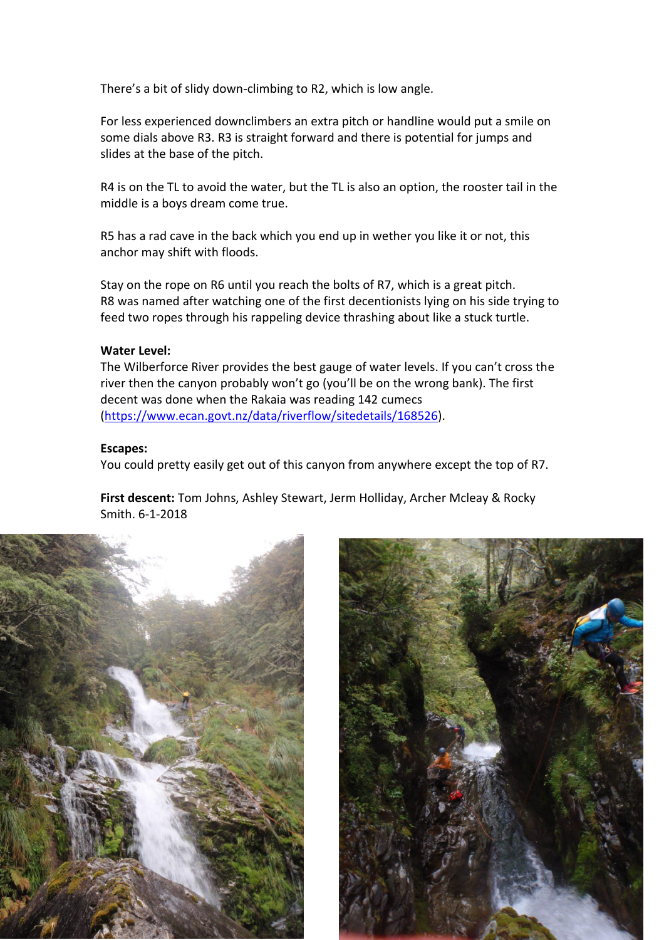There's a bit of slidy down-climbing to R2, which is low angle.

For less experienced downclimbers an extra pitch or handline would put a smile on some dials above R3. R3 is straight forward and there is potential for jumps and slides at the base of the pitch.

R4 is on the TL to avoid the water, but the TL is also an option, the rooster tail in the middle is a boys dream come true.

R5 has a rad cave in the back which you end up in wether you like it or not, this anchor may shift with floods.

Stay on the rope on R6 until you reach the bolts of R7, which is a great pitch. R8 was named after watching one of the first decentionists lying on his side trying to feed two ropes through his rappeling device thrashing about like a stuck turtle.

## **Water Level:**

The Wilberforce River provides the best gauge of water levels. If you can't cross the river then the canyon probably won't go (you'll be on the wrong bank). The first decent was done when the Rakaia was reading 142 cumecs [\(https://www.ecan.govt.nz/data/riverflow/sitedetails/168526\)](https://www.ecan.govt.nz/data/riverflow/sitedetails/168526).

#### **Escapes:**

You could pretty easily get out of this canyon from anywhere except the top of R7.

**First descent:** Tom Johns, Ashley Stewart, Jerm Holliday, Archer Mcleay & Rocky Smith. 6-1-2018